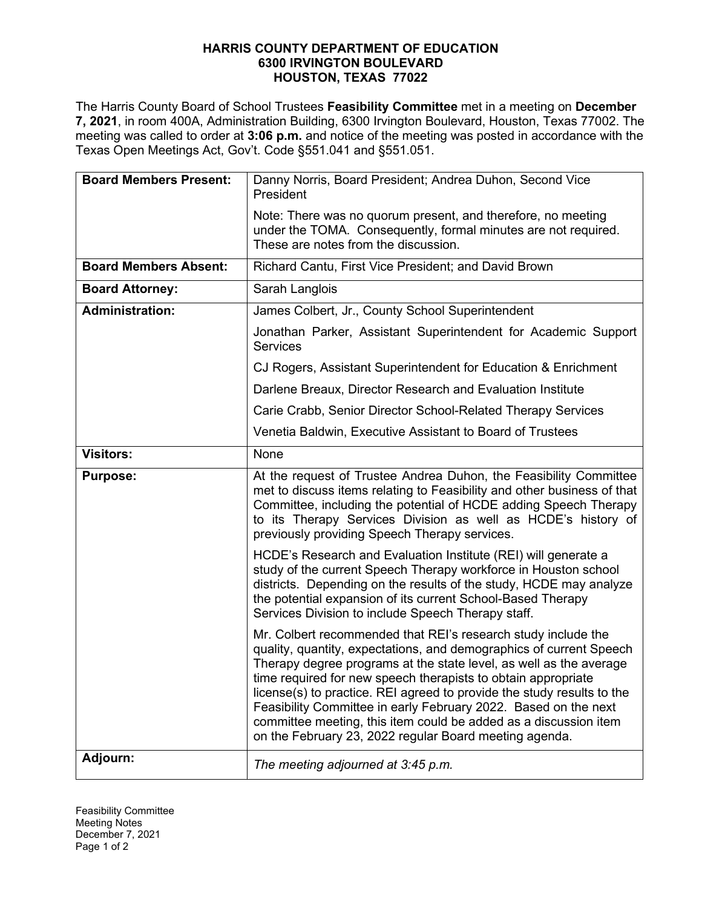## **HARRIS COUNTY DEPARTMENT OF EDUCATION 6300 IRVINGTON BOULEVARD HOUSTON, TEXAS 77022**

The Harris County Board of School Trustees **Feasibility Committee** met in a meeting on **December 7, 2021**, in room 400A, Administration Building, 6300 Irvington Boulevard, Houston, Texas 77002. The meeting was called to order at **3:06 p.m.** and notice of the meeting was posted in accordance with the Texas Open Meetings Act, Gov't. Code §551.041 and §551.051.

| <b>Board Members Present:</b> | Danny Norris, Board President; Andrea Duhon, Second Vice<br>President                                                                                                                                                                                                                                                                                                                                                                                                                                                                                  |
|-------------------------------|--------------------------------------------------------------------------------------------------------------------------------------------------------------------------------------------------------------------------------------------------------------------------------------------------------------------------------------------------------------------------------------------------------------------------------------------------------------------------------------------------------------------------------------------------------|
|                               | Note: There was no quorum present, and therefore, no meeting<br>under the TOMA. Consequently, formal minutes are not required.<br>These are notes from the discussion.                                                                                                                                                                                                                                                                                                                                                                                 |
| <b>Board Members Absent:</b>  | Richard Cantu, First Vice President; and David Brown                                                                                                                                                                                                                                                                                                                                                                                                                                                                                                   |
| <b>Board Attorney:</b>        | Sarah Langlois                                                                                                                                                                                                                                                                                                                                                                                                                                                                                                                                         |
| <b>Administration:</b>        | James Colbert, Jr., County School Superintendent                                                                                                                                                                                                                                                                                                                                                                                                                                                                                                       |
|                               | Jonathan Parker, Assistant Superintendent for Academic Support<br><b>Services</b>                                                                                                                                                                                                                                                                                                                                                                                                                                                                      |
|                               | CJ Rogers, Assistant Superintendent for Education & Enrichment                                                                                                                                                                                                                                                                                                                                                                                                                                                                                         |
|                               | Darlene Breaux, Director Research and Evaluation Institute                                                                                                                                                                                                                                                                                                                                                                                                                                                                                             |
|                               | Carie Crabb, Senior Director School-Related Therapy Services                                                                                                                                                                                                                                                                                                                                                                                                                                                                                           |
|                               | Venetia Baldwin, Executive Assistant to Board of Trustees                                                                                                                                                                                                                                                                                                                                                                                                                                                                                              |
| <b>Visitors:</b>              | None                                                                                                                                                                                                                                                                                                                                                                                                                                                                                                                                                   |
| <b>Purpose:</b>               | At the request of Trustee Andrea Duhon, the Feasibility Committee<br>met to discuss items relating to Feasibility and other business of that<br>Committee, including the potential of HCDE adding Speech Therapy<br>to its Therapy Services Division as well as HCDE's history of<br>previously providing Speech Therapy services.                                                                                                                                                                                                                     |
|                               | HCDE's Research and Evaluation Institute (REI) will generate a<br>study of the current Speech Therapy workforce in Houston school<br>districts. Depending on the results of the study, HCDE may analyze<br>the potential expansion of its current School-Based Therapy<br>Services Division to include Speech Therapy staff.                                                                                                                                                                                                                           |
|                               | Mr. Colbert recommended that REI's research study include the<br>quality, quantity, expectations, and demographics of current Speech<br>Therapy degree programs at the state level, as well as the average<br>time required for new speech therapists to obtain appropriate<br>license(s) to practice. REI agreed to provide the study results to the<br>Feasibility Committee in early February 2022. Based on the next<br>committee meeting, this item could be added as a discussion item<br>on the February 23, 2022 regular Board meeting agenda. |
| Adjourn:                      | The meeting adjourned at 3:45 p.m.                                                                                                                                                                                                                                                                                                                                                                                                                                                                                                                     |

Feasibility Committee Meeting Notes December 7, 2021 Page 1 of 2